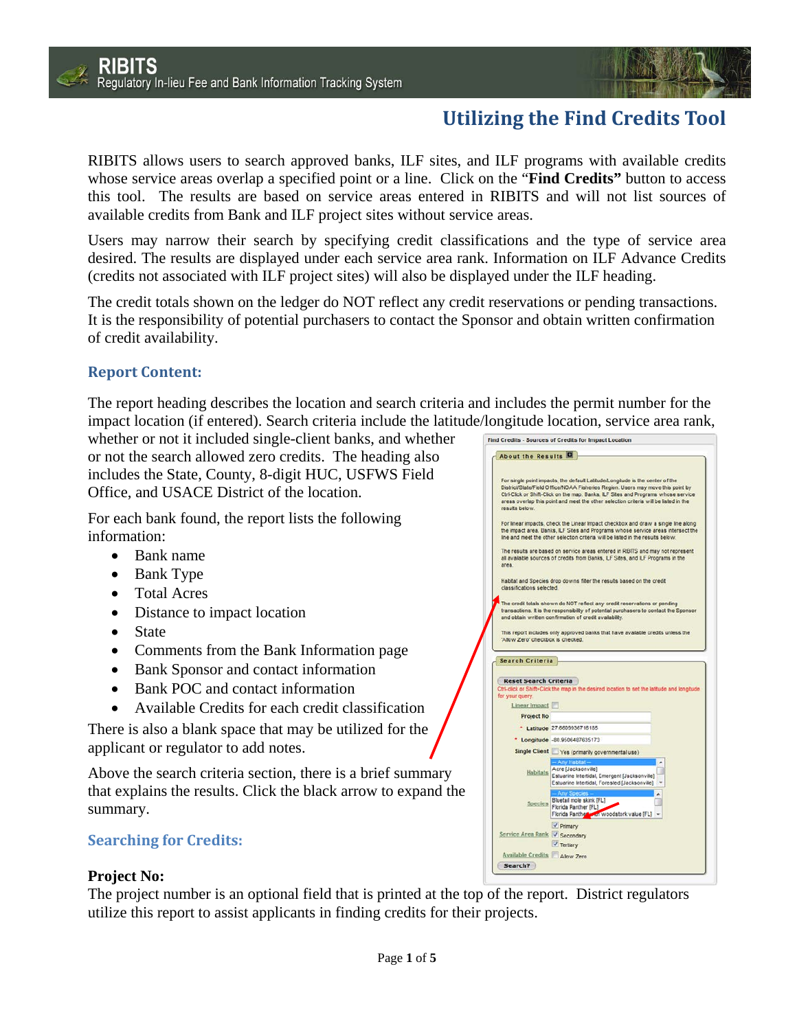

# **Utilizing the Find Credits Tool**

RIBITS allows users to search approved banks, ILF sites, and ILF programs with available credits whose service areas overlap a specified point or a line. Click on the "**Find Credits"** button to access this tool. The results are based on service areas entered in RIBITS and will not list sources of available credits from Bank and ILF project sites without service areas.

Users may narrow their search by specifying credit classifications and the type of service area desired. The results are displayed under each service area rank. Information on ILF Advance Credits (credits not associated with ILF project sites) will also be displayed under the ILF heading.

The credit totals shown on the ledger do NOT reflect any credit reservations or pending transactions. It is the responsibility of potential purchasers to contact the Sponsor and obtain written confirmation of credit availability.

## **Report Content:**

The report heading describes the location and search criteria and includes the permit number for the impact location (if entered). Search criteria include the latitude/longitude location, service area rank,

whether or not it included single-client banks, and whether or not the search allowed zero credits. The heading also includes the State, County, 8-digit HUC, USFWS Field Office, and USACE District of the location.

For each bank found, the report lists the following information:

- Bank name
- Bank Type
- Total Acres
- Distance to impact location
- State
- Comments from the Bank Information page
- Bank Sponsor and contact information
- Bank POC and contact information
- Available Credits for each credit classification

There is also a blank space that may be utilized for the applicant or regulator to add notes.

Above the search criteria section, there is a brief summary that explains the results. Click the black arrow to expand the summary.

# **Searching for Credits:**

## **Project No:**

The project number is an optional field that is printed at the top of the report. District regulators utilize this report to assist applicants in finding credits for their projects.

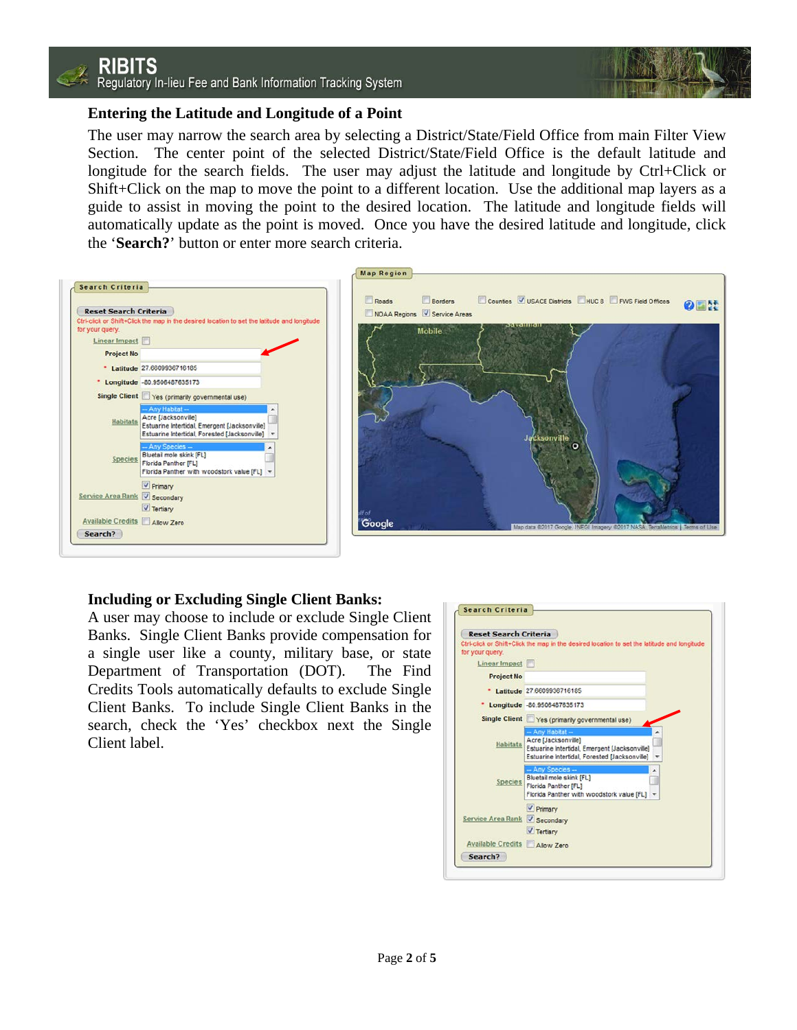

### **Entering the Latitude and Longitude of a Point**

The user may narrow the search area by selecting a District/State/Field Office from main Filter View Section. The center point of the selected District/State/Field Office is the default latitude and longitude for the search fields. The user may adjust the latitude and longitude by Ctrl+Click or Shift+Click on the map to move the point to a different location. Use the additional map layers as a guide to assist in moving the point to the desired location. The latitude and longitude fields will automatically update as the point is moved. Once you have the desired latitude and longitude, click the '**Search?**' button or enter more search criteria.



#### **Including or Excluding Single Client Banks:**

A user may choose to include or exclude Single Client Banks. Single Client Banks provide compensation for a single user like a county, military base, or state Department of Transportation (DOT). The Find Credits Tools automatically defaults to exclude Single Client Banks. To include Single Client Banks in the search, check the 'Yes' checkbox next the Single Client label.

| <b>Reset Search Criteria</b>  |                                                                                                                                          |
|-------------------------------|------------------------------------------------------------------------------------------------------------------------------------------|
| for your query.               | Ctri-click or Shift+Click the map in the desired location to set the latitude and longitude                                              |
| Linear Impact                 |                                                                                                                                          |
| <b>Project No</b>             |                                                                                                                                          |
|                               | * Latitude 27.6609936716185                                                                                                              |
|                               | * Longitude -80.9506487635173                                                                                                            |
|                               | Single Client Ves (primarily governmental use)                                                                                           |
| <b>Habitats</b>               | - Any Habitat -<br>Acre [Jacksonville]<br>Estuarine Intertidal, Emergent [Jacksonville]<br>Estuarine Intertidal, Forested [Jacksonville] |
| <b>Species</b>                | - Any Species --<br>Bluetail mole skink [FL]<br>Florida Panther [FL]<br>Florida Panther with woodstork value [FL] +                      |
| Service Area Rank V Secondary | V Primary<br>V Tertiary                                                                                                                  |
| Available Credits Allow Zero  |                                                                                                                                          |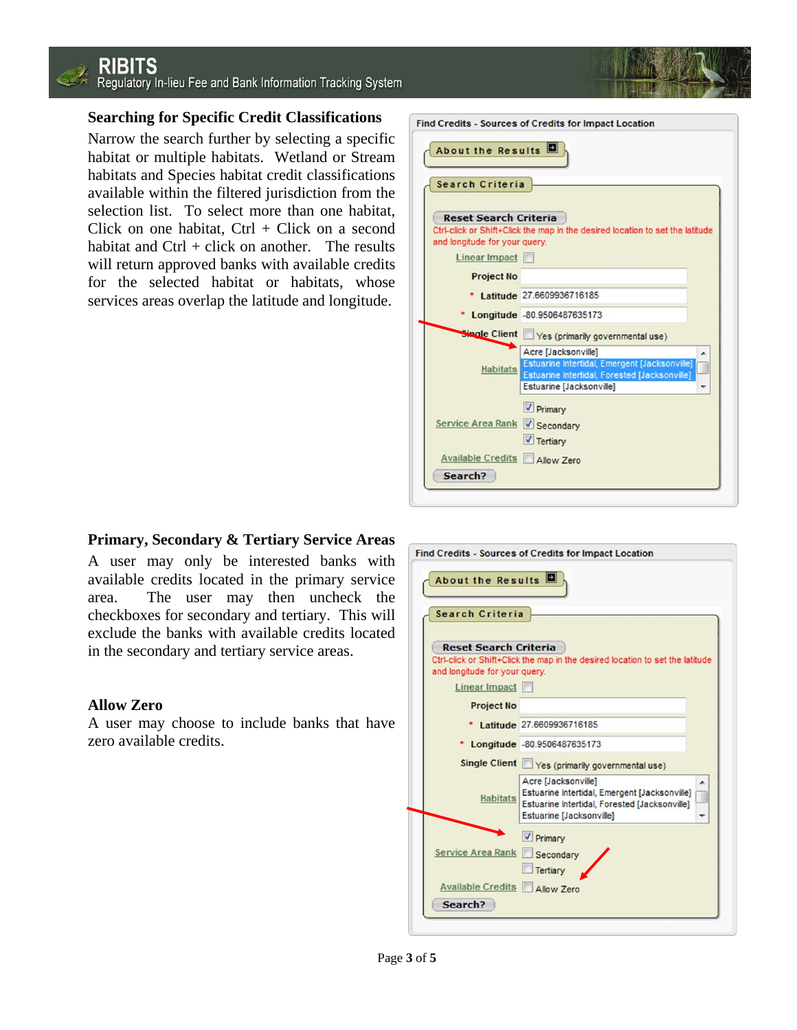## **RIBITS** Regulatory In-lieu Fee and Bank Information Tracking System

## **Searching for Specific Credit Classifications**

Narrow the search further by selecting a specific habitat or multiple habitats. Wetland or Stream habitats and Species habitat credit classifications available within the filtered jurisdiction from the selection list. To select more than one habitat, Click on one habitat,  $Ctrl + Click$  on a second habitat and  $Ctrl + click$  on another. The results will return approved banks with available credits for the selected habitat or habitats, whose services areas overlap the latitude and longitude.

| About the Results             |                                                                                  |
|-------------------------------|----------------------------------------------------------------------------------|
| Search Criteria               |                                                                                  |
|                               |                                                                                  |
| <b>Reset Search Criteria</b>  |                                                                                  |
| and longitude for your query. | Ctrl-click or Shift+Click the map in the desired location to set the latitude    |
| Linear Impact                 |                                                                                  |
|                               |                                                                                  |
| <b>Project No</b>             |                                                                                  |
|                               | Latitude 27,6609936716185                                                        |
|                               | Longitude -80.9506487635173                                                      |
|                               | Single Client Yes (primarily governmental use)                                   |
|                               | Acre [Jacksonville]                                                              |
| <b>Habitats</b>               | Estuarine Intertidal, Emergent [Jacksonville]                                    |
|                               | Estuarine Intertidal, Forested [Jacksonville]<br><b>Estuarine [Jacksonville]</b> |
|                               | <b>V</b> Primary                                                                 |
| Service Area Rank V Secondary |                                                                                  |
|                               |                                                                                  |
|                               | $\sqrt{}$ Tertiary                                                               |
| Available Credits Allow Zero  |                                                                                  |

#### **Primary, Secondary & Tertiary Service Areas**

A user may only be interested banks with available credits located in the primary service area. The user may then uncheck the checkboxes for secondary and tertiary. This will exclude the banks with available credits located in the secondary and tertiary service areas.

#### **Allow Zero**

A user may choose to include banks that have zero available credits.

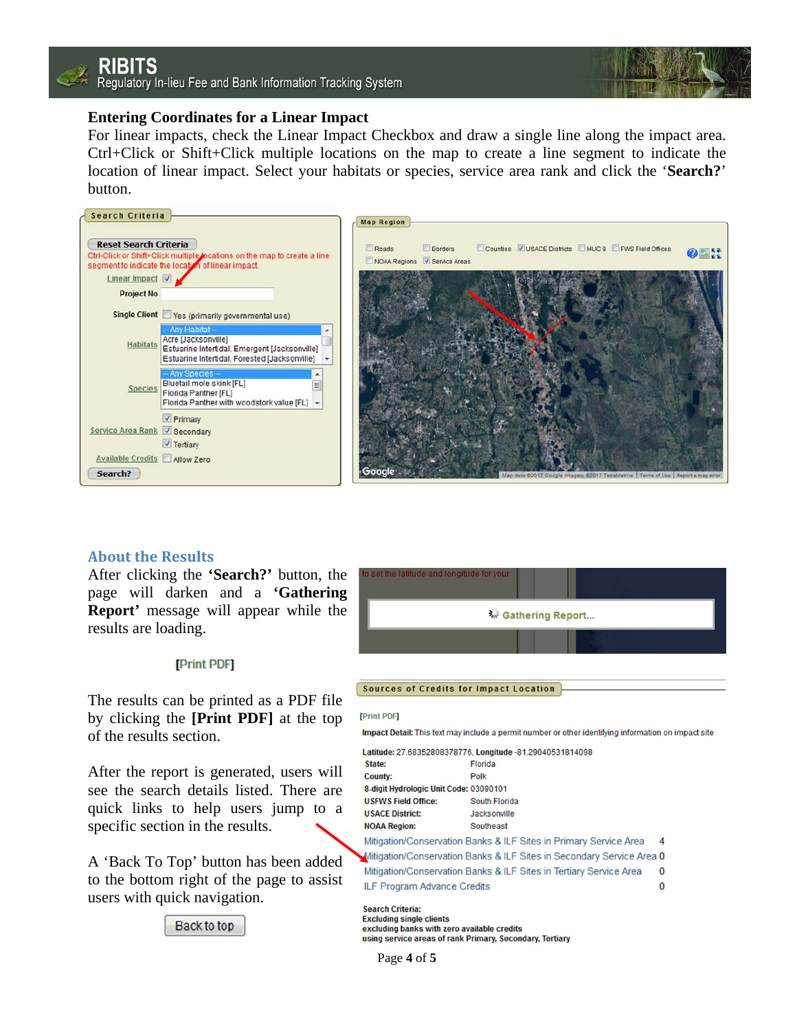

#### **Entering Coordinates for a Linear Impact**

For linear impacts, check the Linear Impact Checkbox and draw a single line along the impact area. Ctrl+Click or Shift+Click multiple locations on the map to create a line segment to indicate the location of linear impact. Select your habitats or species, service area rank and click the '**Search?**' button.



#### **About the Results**

After clicking the **'Search?'** button, the page will darken and a **'Gathering Report'** message will appear while the results are loading.

#### [Print PDF]

The results can be printed as a PDF file by clicking the **[Print PDF]** at the top of the results section.

After the report is generated, users will see the search details listed. There are quick links to help users jump to a specific section in the results.

A 'Back To Top' button has been added to the bottom right of the page to assist users with quick navigation.





#### Sources of Credits for Impact Location

#### **[Print PDF]**

Impact Detail: This text may include a permit number or other identifying information on impact site

|                                        | Latitude: 27.68352808378776, Longitude -81.29040531814098             |          |
|----------------------------------------|-----------------------------------------------------------------------|----------|
| State:                                 | Florida                                                               |          |
| County:                                | Polk                                                                  |          |
| 8-digit Hydrologic Unit Code: 03090101 |                                                                       |          |
| <b>USFWS Field Office:</b>             | South Florida                                                         |          |
| <b>USACE District:</b>                 | Jacksonville                                                          |          |
| <b>NOAA Region:</b>                    | Southeast                                                             |          |
|                                        | Mitigation/Conservation Banks & ILF Sites in Primary Service Area     | 4        |
|                                        | Mitigation/Conservation Banks & ILF Sites in Secondary Service Area 0 |          |
|                                        | Mitigation/Conservation Banks & ILF Sites in Tertiary Service Area    | $\Omega$ |
| <b>ILF Program Advance Credits</b>     |                                                                       | $\Omega$ |
|                                        |                                                                       |          |

**Search Criteria: Excluding single clients** excluding banks with zero available credits using service areas of rank Primary, Secondary, Tertiary

Page **4** of **5**